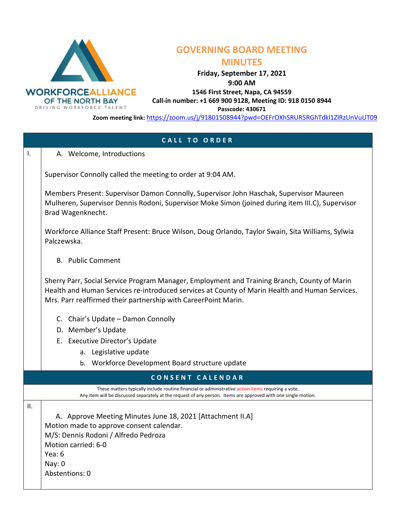

## **GOVERNING BOARD MEETING**

## **MINUTES**

**Friday, September 17, 2021** 

**9:00 AM** 

**1546 First Street, Napa, CA 94559**

**Call-in number: +1 669 900 9128, Meeting ID: 918 0150 8944**

**Passcode: 430671**

**Zoom meeting link:** <https://zoom.us/j/91801508944?pwd=OEFrOXhSRUR5RGhTdkl1ZlRzUnVuUT09>

| <b>CALL TO ORDER</b> |                                                                                                                                                                                                                                                                  |  |
|----------------------|------------------------------------------------------------------------------------------------------------------------------------------------------------------------------------------------------------------------------------------------------------------|--|
| $\mathbf{I}$ .       | A. Welcome, Introductions                                                                                                                                                                                                                                        |  |
|                      | Supervisor Connolly called the meeting to order at 9:04 AM.                                                                                                                                                                                                      |  |
|                      | Members Present: Supervisor Damon Connolly, Supervisor John Haschak, Supervisor Maureen<br>Mulheren, Supervisor Dennis Rodoni, Supervisor Moke Simon (joined during item III.C), Supervisor<br>Brad Wagenknecht.                                                 |  |
|                      | Workforce Alliance Staff Present: Bruce Wilson, Doug Orlando, Taylor Swain, Sita Williams, Sylwia<br>Palczewska.                                                                                                                                                 |  |
|                      | <b>B.</b> Public Comment                                                                                                                                                                                                                                         |  |
|                      | Sherry Parr, Social Service Program Manager, Employment and Training Branch, County of Marin<br>Health and Human Services re-introduced services at County of Marin Health and Human Services.<br>Mrs. Parr reaffirmed their partnership with CareerPoint Marin. |  |
|                      | C. Chair's Update - Damon Connolly                                                                                                                                                                                                                               |  |
|                      | D. Member's Update                                                                                                                                                                                                                                               |  |
|                      | E. Executive Director's Update                                                                                                                                                                                                                                   |  |
|                      | a. Legislative update                                                                                                                                                                                                                                            |  |
|                      | Workforce Development Board structure update<br>b.                                                                                                                                                                                                               |  |
|                      | CONSENT CALENDAR                                                                                                                                                                                                                                                 |  |
|                      | These matters typically include routine financial or administrative action items requiring a vote.<br>Any item will be discussed separately at the request of any person. Items are approved with one single motion.                                             |  |
| Ш.                   |                                                                                                                                                                                                                                                                  |  |
|                      | A. Approve Meeting Minutes June 18, 2021 [Attachment II.A]                                                                                                                                                                                                       |  |
|                      | Motion made to approve consent calendar.                                                                                                                                                                                                                         |  |
|                      | M/S: Dennis Rodoni / Alfredo Pedroza                                                                                                                                                                                                                             |  |
|                      | Motion carried: 6-0<br>Yea: 6                                                                                                                                                                                                                                    |  |
|                      | Nay: 0                                                                                                                                                                                                                                                           |  |
|                      | Abstentions: 0                                                                                                                                                                                                                                                   |  |
|                      |                                                                                                                                                                                                                                                                  |  |